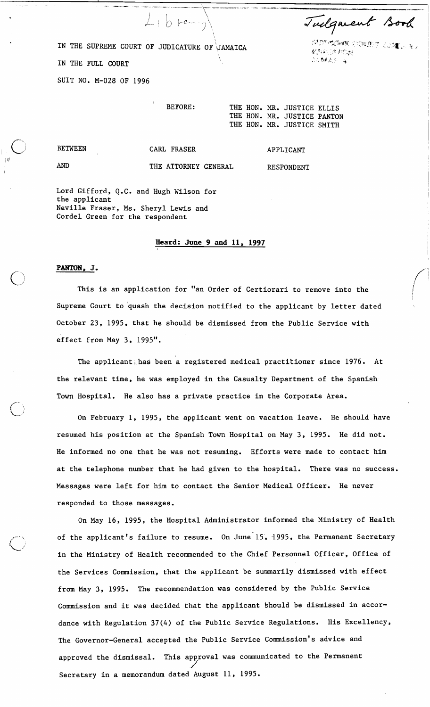Tuelquent Book

**这里的 克里斯 小型的 不可能** 

初回途に戻 04.894.30 a

IN THE SUPREME COURT OF JUDICATURE OF JAMAICA

 $L_{1}b$  re

IN THE FULL COURT

SUIT NO. M-028 OF 1996

THE HON. MR. JUSTICE ELLIS THE HON. MR. JUSTICE PANTON THE HON. MR. JUSTICE SMITH

RESPONDENT

**BETWEEN** 

**AND** 

<sup>I</sup>'I'

## CARL FRASER

APPLICANT

THE ATTORNEY GENERAL

Lord Gifford, Q.C. and Hugh Wilson for the applicant Neville Fraser, Ms. Sheryl Lewis and Cordel Green for the respondent

## **Heard: June 9 and 11, 1997**

## **PANTON, J.**

*C\* This is an application for "an Order of Certiorari to remove into the Supreme Court to quash the decision notified to the applicant by letter dated October 23, 1995, that he should be dismissed from the Public Service with effect from May 3, 1995".

The applicant,,has been a registered medical practitioner since 1976. At the relevant time, he was employed in the Casualty Department of the Spanish Town Hospital. He also has a private practice in the Corporate Area.

On February 1, 1995, the applicant went on vacation leave. He should have resumed his position at the Spanish Town Hospital on May 3, 1995. He did not. He informed no one that he was not resuming. Efforts were made to contact him at the telephone number that he had given to the hospital. There was no success. Messages were left for him to contact the Senior Medical Officer. He never responded to those messages.

On May 16, 1995, the Hospital Administrator informed the Ministry of Health of the applicant's failure to resume. On June 15, 1995, the Permanent Secretary in the Ministry of Health recommended to the Chief Personnel Officer, Office of the Services Commission, that the applicant be summarily dismissed with effect from May 3, 1995. The recommendation was considered by the Public Service Commission and it was decided that the applicant Should be dismissed in accordance with Regulation 37(4) of the Public Service Regulations. His Excellency, The Governor-General accepted the Public Service Commission's advice and approved the dismissal. This approval was communicated to the Permanent Secretary in a memorandum dated August 11, 1995.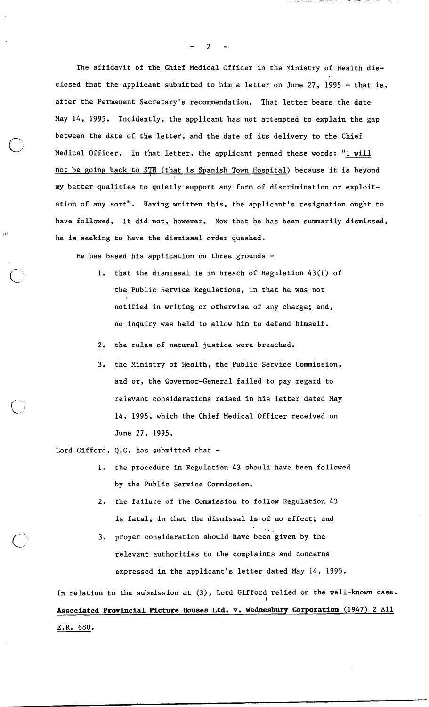The affidavit of the Chief Medical Officer in the Ministry of Health disclosed that the applicant submitted to him a letter on June 27, 1995 - that is, after the Permanent Secretary's recommendation. That letter bears the date May 14, 1995. Incidently, the applicant has not attempted to explain the gap between the date of the letter, and the date of its delivery to the Chief Medical Officer. In that letter, the applicant penned these words: **"I** will not be going back to STH (that is Spanish Town Hospital) because it is beyond my better qualities to quietly support any form of discrimination or exploitation of any sort". Having written this, the applicant's resignation ought to have followed. It did not, however. Now that he has been summarily dismissed, he is seeking to have the dismissal order quashed.

He has based his application on three grounds -

- 1. that the dismissal is in breach of Regulation 43(1) of the Public Service Regulations, in that he was not **I**  notified in writing or otherwise of any charge; and, no inquiry'was held to allow him to defend himself.
- 2. the rules of natural justice were breached.
- 3. the Ministry of Health, the Public Service Commission, and or, the Governor-General failed to pay regard to relevant considerations raised in his letter dated May 14, 1995, which the Chief Medical Officer received on June 27, 1995.

Lord Gifford,  $Q_{\bullet}C_{\bullet}$  has submitted that -

- 1. the procedure in Regulation 43 should have been followed by the Public Service Commission.
- 2. the failure of the Commission to follow Regulation 43 is fatal, in that the dismissal is of no effect; and
- 3. proper consideration should have been given by the relevant authorities to the complaints and concerns expressed in the applicant's letter dated May 14, 1995.

In relation to the submission at (3), Lord Gifford relied on the well-known case. \ **Associated Provincial Picture Houses Ltd. v. Wednesbury Corporation** (1947) 2 All E.R. 680.

 $\overline{2}$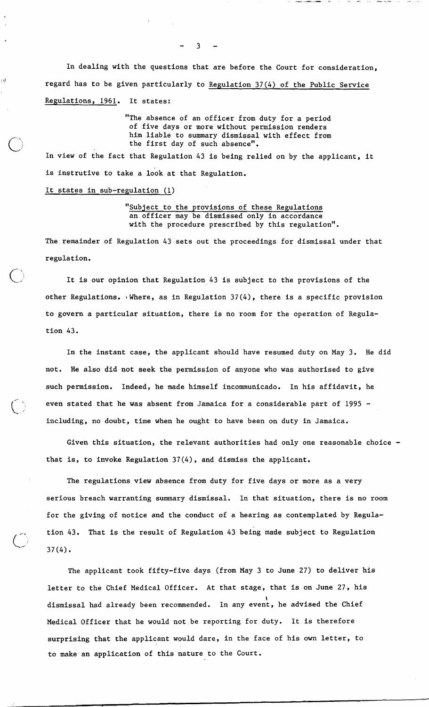In dealing with the questions that are before the Court for consideration, regard has to be given particularly to Regulation 37(4) of the Public Service Regulations, 1961. It states:

> "The absence of an officer from duty for a period of five days or more without permission renders him liable to summary dismissal with effect from the first day of such absence".

In view of the fact that Regulation 43 is being relied on by the applicant, it is instrutive to take a look at that Regulation.

## It states in sub-regulation (1)

ηÌ

"Subject to the provisions of these Regulations an officer may be dismissed only in accordance with the procedure prescribed by this regulation".

The remainder of Regulation 43 sets out the proceedings for dismissal under that regulation.

It is our opinion that Regulation 43 is subject to the provisions of the other Regulations. Where, as in Regulation  $37(4)$ , there is a specific provision to govern a particular situation, there is no room for the operation of Regulation 43.

In the instant case, the applicant should have resumed duty on May 3. He did not. He also did not seek the permission of anyone who was authorised to give such permission. Indeed, he made himself incommunicado. In his affidavit, he even stated that he was absent from Jamaica for a considerable part of 1995 including, no doubt, time when he ought to have been on duty in Jamaica.

Given this situation, the relevant authorities had only one reasonable choice that is, to invoke Regulation 37(4), and dismiss the applicant.

The regulations view absence from duty for five days or more as a very serious breach warranting summary dismissal. In that situation, there is no room for the giving of notice and the conduct of a hearing as contemplated by Regulation 43. That is the result of Regulation 43 being made subject to Regulation  $37(4)$ .

The applicant took fifty-five days (from May 3 to June 27) to deliver his letter to the Chief Medical Officer. At that stage, that is on June 27, his \ dismissal had already been recommended. In any event, he advised the Chief Medical Officer that he would not be reporting for duty. It is therefore surprising that the applicant would dare, in the face of his own letter, to to make an application of this nature to the Court.

 $3 - -$